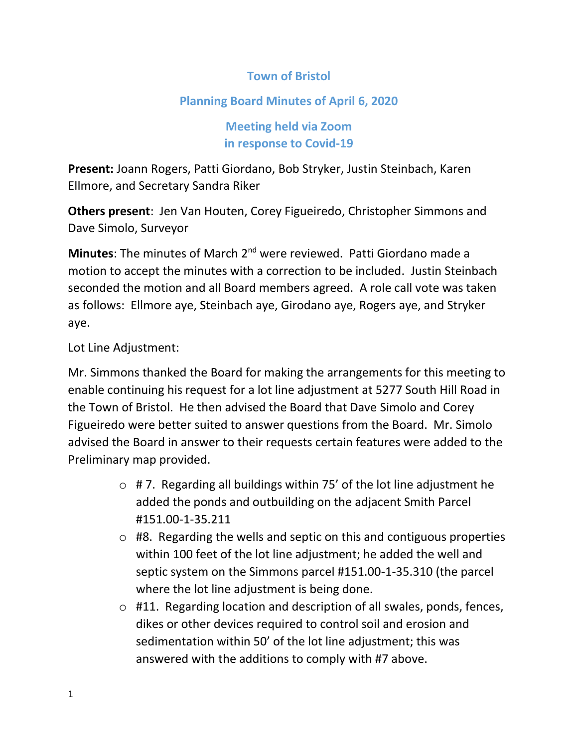## **Town of Bristol**

## **Planning Board Minutes of April 6, 2020**

**Meeting held via Zoom in response to Covid-19**

**Present:** Joann Rogers, Patti Giordano, Bob Stryker, Justin Steinbach, Karen Ellmore, and Secretary Sandra Riker

**Others present**: Jen Van Houten, Corey Figueiredo, Christopher Simmons and Dave Simolo, Surveyor

**Minutes**: The minutes of March 2nd were reviewed. Patti Giordano made a motion to accept the minutes with a correction to be included. Justin Steinbach seconded the motion and all Board members agreed. A role call vote was taken as follows: Ellmore aye, Steinbach aye, Girodano aye, Rogers aye, and Stryker aye.

Lot Line Adjustment:

Mr. Simmons thanked the Board for making the arrangements for this meeting to enable continuing his request for a lot line adjustment at 5277 South Hill Road in the Town of Bristol. He then advised the Board that Dave Simolo and Corey Figueiredo were better suited to answer questions from the Board. Mr. Simolo advised the Board in answer to their requests certain features were added to the Preliminary map provided.

- $\circ$  # 7. Regarding all buildings within 75' of the lot line adjustment he added the ponds and outbuilding on the adjacent Smith Parcel #151.00-1-35.211
- $\circ$  #8. Regarding the wells and septic on this and contiguous properties within 100 feet of the lot line adjustment; he added the well and septic system on the Simmons parcel #151.00-1-35.310 (the parcel where the lot line adjustment is being done.
- o #11. Regarding location and description of all swales, ponds, fences, dikes or other devices required to control soil and erosion and sedimentation within 50' of the lot line adjustment; this was answered with the additions to comply with #7 above.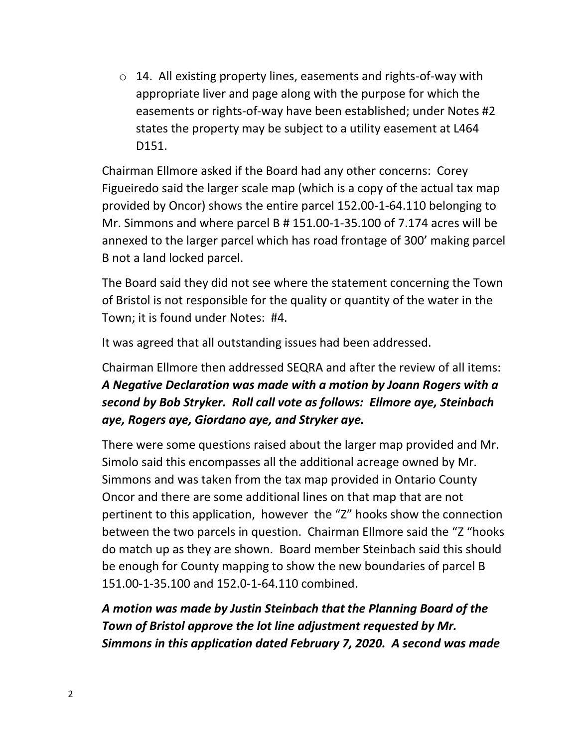o 14. All existing property lines, easements and rights-of-way with appropriate liver and page along with the purpose for which the easements or rights-of-way have been established; under Notes #2 states the property may be subject to a utility easement at L464 D151.

Chairman Ellmore asked if the Board had any other concerns: Corey Figueiredo said the larger scale map (which is a copy of the actual tax map provided by Oncor) shows the entire parcel 152.00-1-64.110 belonging to Mr. Simmons and where parcel B # 151.00-1-35.100 of 7.174 acres will be annexed to the larger parcel which has road frontage of 300' making parcel B not a land locked parcel.

The Board said they did not see where the statement concerning the Town of Bristol is not responsible for the quality or quantity of the water in the Town; it is found under Notes: #4.

It was agreed that all outstanding issues had been addressed.

## Chairman Ellmore then addressed SEQRA and after the review of all items: *A Negative Declaration was made with a motion by Joann Rogers with a second by Bob Stryker. Roll call vote as follows: Ellmore aye, Steinbach aye, Rogers aye, Giordano aye, and Stryker aye.*

There were some questions raised about the larger map provided and Mr. Simolo said this encompasses all the additional acreage owned by Mr. Simmons and was taken from the tax map provided in Ontario County Oncor and there are some additional lines on that map that are not pertinent to this application, however the "Z" hooks show the connection between the two parcels in question. Chairman Ellmore said the "Z "hooks do match up as they are shown. Board member Steinbach said this should be enough for County mapping to show the new boundaries of parcel B 151.00-1-35.100 and 152.0-1-64.110 combined.

*A motion was made by Justin Steinbach that the Planning Board of the Town of Bristol approve the lot line adjustment requested by Mr. Simmons in this application dated February 7, 2020. A second was made*